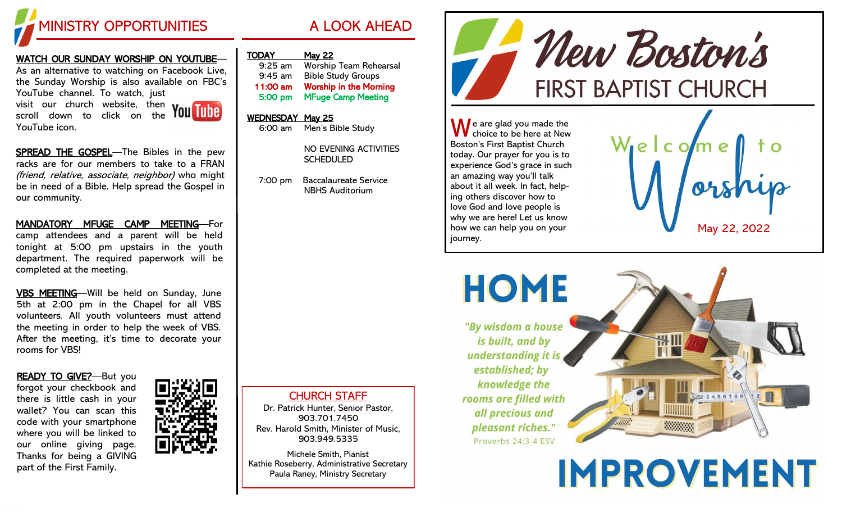

#### <u>WATCH OUR SUNDAY WORSHIP ON YOUTUBE</u>—

As an alternative to watching on Facebook Live, the Sunday Worship is also available on FBC's YouTube channel. To watch, just visit our church website, then scroll down to click on the



SPREAD THE GOSPEL-The Bibles in the pew racks are for our members to take to a FRAN (friend, relative, associate, neighbor) who might be in need of a Bible. Help spread the Gospel in our community.

MANDATORY MFUGE CAMP MEETING-For camp attendees and a parent will be held tonight at 5:00 pm upstairs in the youth department. The required paperwork will be completed at the meeting.

VBS MEETING —Will be held on Sunday, June 5th at 2:00 pm in the Chapel for all VBS volunteers. All youth volunteers must attend the meeting in order to help the week of VBS. After the meeting, it's time to decorate your rooms for VBS!

READY TO GIVE?-But you

YouTube icon.

forgot your checkbook and there is little cash in your wallet? You can scan this code with your smartphone where you will be linked to our online giving page. Thanks for being a GIVING part of the First Family.



|--|

| $9:25$ am | <b>Worship Team Rehearsal</b> |
|-----------|-------------------------------|
| $9:45$ am | <b>Bible Study Groups</b>     |
| 11:00 am  | <b>Worship in the Morning</b> |
| 5:00 pm   | <b>MFuge Camp Meeting</b>     |

## WEDNESDAY May 25

6:00 am Men's Bible Study

NO EVENING ACTIVITIES **SCHEDULED** 

7:00 pm Baccalaureate Service NBHS Auditorium

CHURCH STAFF Dr. Patrick Hunter, Senior Pastor, 903.701.7450 Rev. Harold Smith, Minister of Music, 903.949.5335 Michele Smith, Pianist Kathie Roseberry, Administrative Secretary Paula Raney, Ministry Secretary



**A** e are glad you made the choice to be here at New Boston's First Baptist Church today. Our prayer for you is to experience God's grace in such an amazing way you'll talk about it all week. In fact, helping others discover how to love God and love people is why we are here! Let us know how we can help you on your journey.



HOME "By wisdom a house is built, and by understanding it is established; by knowledge the rooms are filled with all precious and pleasant riches.' Proverbs 24:3-4 ESV

**IMPROVEMENT**